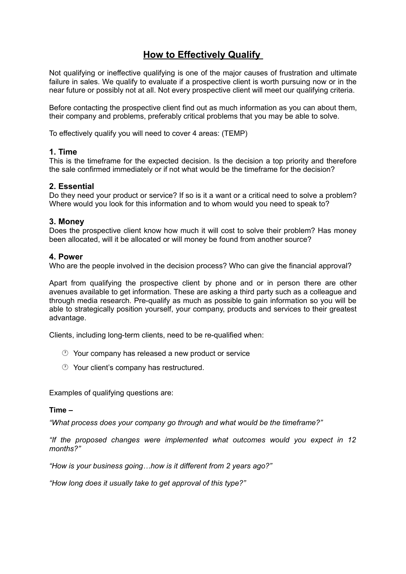# **How to Effectively Qualify**

Not qualifying or ineffective qualifying is one of the major causes of frustration and ultimate failure in sales. We qualify to evaluate if a prospective client is worth pursuing now or in the near future or possibly not at all. Not every prospective client will meet our qualifying criteria.

Before contacting the prospective client find out as much information as you can about them, their company and problems, preferably critical problems that you may be able to solve.

To effectively qualify you will need to cover 4 areas: (TEMP)

## **1. Time**

This is the timeframe for the expected decision. Is the decision a top priority and therefore the sale confirmed immediately or if not what would be the timeframe for the decision?

## **2. Essential**

Do they need your product or service? If so is it a want or a critical need to solve a problem? Where would you look for this information and to whom would you need to speak to?

#### **3. Money**

Does the prospective client know how much it will cost to solve their problem? Has money been allocated, will it be allocated or will money be found from another source?

#### **4. Power**

Who are the people involved in the decision process? Who can give the financial approval?

Apart from qualifying the prospective client by phone and or in person there are other avenues available to get information. These are asking a third party such as a colleague and through media research. Pre-qualify as much as possible to gain information so you will be able to strategically position yourself, your company, products and services to their greatest advantage.

Clients, including long-term clients, need to be re-qualified when:

- Your company has released a new product or service
- Your client's company has restructured.

Examples of qualifying questions are:

#### **Time –**

*"What process does your company go through and what would be the timeframe?"*

*"If the proposed changes were implemented what outcomes would you expect in 12 months?"*

*"How is your business going…how is it different from 2 years ago?"*

*"How long does it usually take to get approval of this type?"*